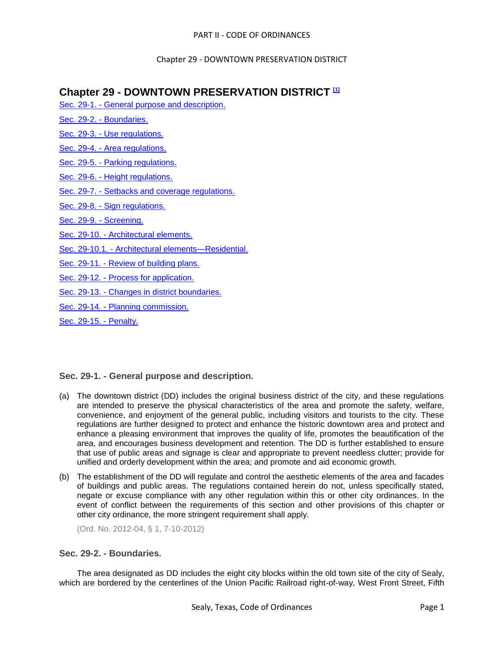# **Chapter 29 - DOWNTOWN PRESERVATION DISTRICT [1]**

- Sec. 29-1. [General purpose and description.](#page-0-0)
- Sec. 29-2. [Boundaries.](#page-0-1)
- Sec. 29-3. [Use regulations.](#page-1-0)
- Sec. 29-4. [Area regulations.](#page-3-0)
- Sec. 29-5. [Parking regulations.](#page-4-0)
- Sec. 29-6. [Height regulations.](#page-4-1)
- Sec. 29-7. [Setbacks and coverage regulations.](#page-4-2)
- Sec. 29-8. [Sign regulations.](#page-4-3)
- [Sec. 29-9. -](#page-5-0) Screening.
- Sec. 29-10. [Architectural elements.](#page-5-1)
- Sec. 29-10.1. [Architectural elements—Residential.](#page-9-0)
- Sec. 29-11. [Review of building plans.](#page-11-0)
- Sec. 29-12. [Process for application.](#page-12-0)
- Sec. 29-13. [Changes in district boundaries.](#page-13-0)
- Sec. 29-14. [Planning commission.](#page-13-1)
- [Sec. 29-15. -](#page-14-0) Penalty.

# <span id="page-0-0"></span>**Sec. 29-1. - General purpose and description.**

- (a) The downtown district (DD) includes the original business district of the city, and these regulations are intended to preserve the physical characteristics of the area and promote the safety, welfare, convenience, and enjoyment of the general public, including visitors and tourists to the city. These regulations are further designed to protect and enhance the historic downtown area and protect and enhance a pleasing environment that improves the quality of life, promotes the beautification of the area, and encourages business development and retention. The DD is further established to ensure that use of public areas and signage is clear and appropriate to prevent needless clutter; provide for unified and orderly development within the area; and promote and aid economic growth.
- (b) The establishment of the DD will regulate and control the aesthetic elements of the area and facades of buildings and public areas. The regulations contained herein do not, unless specifically stated, negate or excuse compliance with any other regulation within this or other city ordinances. In the event of conflict between the requirements of this section and other provisions of this chapter or other city ordinance, the more stringent requirement shall apply.

(Ord. No. 2012-04, § 1, 7-10-2012)

# <span id="page-0-1"></span>**Sec. 29-2. - Boundaries.**

The area designated as DD includes the eight city blocks within the old town site of the city of Sealy, which are bordered by the centerlines of the Union Pacific Railroad right-of-way, West Front Street, Fifth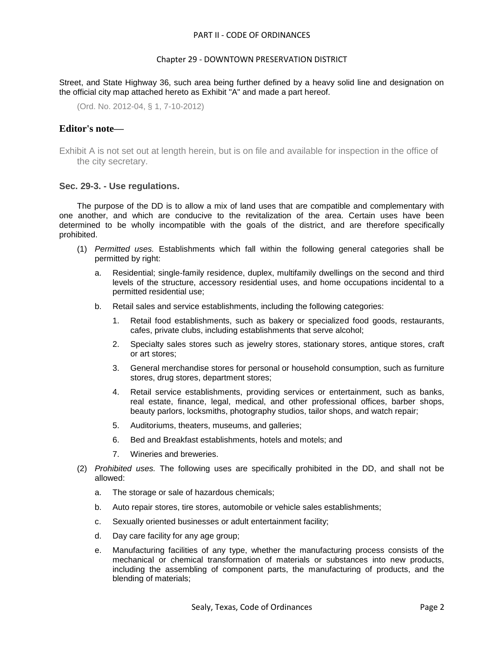### Chapter 29 - DOWNTOWN PRESERVATION DISTRICT

Street, and State Highway 36, such area being further defined by a heavy solid line and designation on the official city map attached hereto as Exhibit "A" and made a part hereof.

(Ord. No. 2012-04, § 1, 7-10-2012)

### **Editor's note—**

Exhibit A is not set out at length herein, but is on file and available for inspection in the office of the city secretary.

#### <span id="page-1-0"></span>**Sec. 29-3. - Use regulations.**

The purpose of the DD is to allow a mix of land uses that are compatible and complementary with one another, and which are conducive to the revitalization of the area. Certain uses have been determined to be wholly incompatible with the goals of the district, and are therefore specifically prohibited.

- (1) *Permitted uses.* Establishments which fall within the following general categories shall be permitted by right:
	- a. Residential; single-family residence, duplex, multifamily dwellings on the second and third levels of the structure, accessory residential uses, and home occupations incidental to a permitted residential use;
	- b. Retail sales and service establishments, including the following categories:
		- 1. Retail food establishments, such as bakery or specialized food goods, restaurants, cafes, private clubs, including establishments that serve alcohol;
		- 2. Specialty sales stores such as jewelry stores, stationary stores, antique stores, craft or art stores;
		- 3. General merchandise stores for personal or household consumption, such as furniture stores, drug stores, department stores;
		- 4. Retail service establishments, providing services or entertainment, such as banks, real estate, finance, legal, medical, and other professional offices, barber shops, beauty parlors, locksmiths, photography studios, tailor shops, and watch repair;
		- 5. Auditoriums, theaters, museums, and galleries;
		- 6. Bed and Breakfast establishments, hotels and motels; and
		- 7. Wineries and breweries.
- (2) *Prohibited uses.* The following uses are specifically prohibited in the DD, and shall not be allowed:
	- a. The storage or sale of hazardous chemicals;
	- b. Auto repair stores, tire stores, automobile or vehicle sales establishments;
	- c. Sexually oriented businesses or adult entertainment facility;
	- d. Day care facility for any age group;
	- e. Manufacturing facilities of any type, whether the manufacturing process consists of the mechanical or chemical transformation of materials or substances into new products, including the assembling of component parts, the manufacturing of products, and the blending of materials;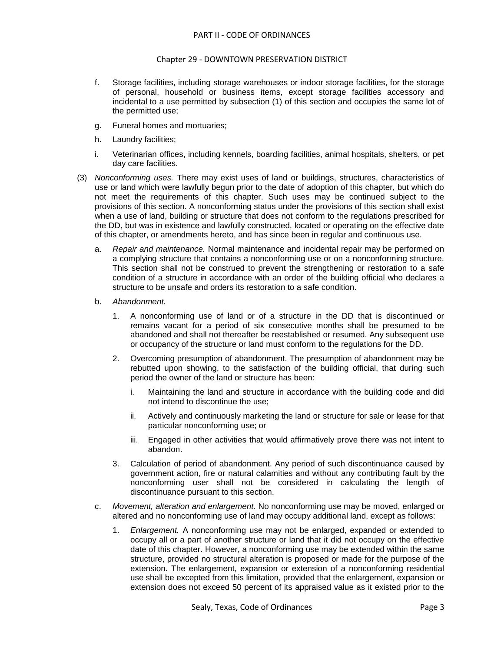- f. Storage facilities, including storage warehouses or indoor storage facilities, for the storage of personal, household or business items, except storage facilities accessory and incidental to a use permitted by subsection (1) of this section and occupies the same lot of the permitted use;
- g. Funeral homes and mortuaries;
- h. Laundry facilities;
- i. Veterinarian offices, including kennels, boarding facilities, animal hospitals, shelters, or pet day care facilities.
- (3) *Nonconforming uses.* There may exist uses of land or buildings, structures, characteristics of use or land which were lawfully begun prior to the date of adoption of this chapter, but which do not meet the requirements of this chapter. Such uses may be continued subject to the provisions of this section. A nonconforming status under the provisions of this section shall exist when a use of land, building or structure that does not conform to the regulations prescribed for the DD, but was in existence and lawfully constructed, located or operating on the effective date of this chapter, or amendments hereto, and has since been in regular and continuous use.
	- a. *Repair and maintenance.* Normal maintenance and incidental repair may be performed on a complying structure that contains a nonconforming use or on a nonconforming structure. This section shall not be construed to prevent the strengthening or restoration to a safe condition of a structure in accordance with an order of the building official who declares a structure to be unsafe and orders its restoration to a safe condition.
	- b. *Abandonment.*
		- 1. A nonconforming use of land or of a structure in the DD that is discontinued or remains vacant for a period of six consecutive months shall be presumed to be abandoned and shall not thereafter be reestablished or resumed. Any subsequent use or occupancy of the structure or land must conform to the regulations for the DD.
		- 2. Overcoming presumption of abandonment. The presumption of abandonment may be rebutted upon showing, to the satisfaction of the building official, that during such period the owner of the land or structure has been:
			- i. Maintaining the land and structure in accordance with the building code and did not intend to discontinue the use;
			- ii. Actively and continuously marketing the land or structure for sale or lease for that particular nonconforming use; or
			- iii. Engaged in other activities that would affirmatively prove there was not intent to abandon.
		- 3. Calculation of period of abandonment. Any period of such discontinuance caused by government action, fire or natural calamities and without any contributing fault by the nonconforming user shall not be considered in calculating the length of discontinuance pursuant to this section.
	- c. *Movement, alteration and enlargement.* No nonconforming use may be moved, enlarged or altered and no nonconforming use of land may occupy additional land, except as follows:
		- 1. *Enlargement.* A nonconforming use may not be enlarged, expanded or extended to occupy all or a part of another structure or land that it did not occupy on the effective date of this chapter. However, a nonconforming use may be extended within the same structure, provided no structural alteration is proposed or made for the purpose of the extension. The enlargement, expansion or extension of a nonconforming residential use shall be excepted from this limitation, provided that the enlargement, expansion or extension does not exceed 50 percent of its appraised value as it existed prior to the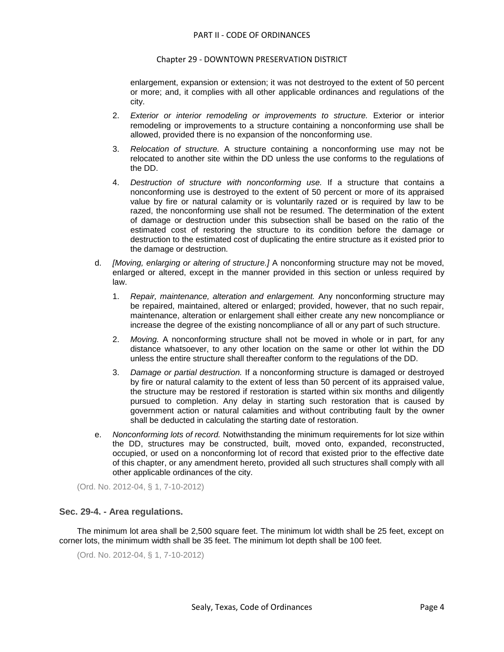enlargement, expansion or extension; it was not destroyed to the extent of 50 percent or more; and, it complies with all other applicable ordinances and regulations of the city.

- 2. *Exterior or interior remodeling or improvements to structure.* Exterior or interior remodeling or improvements to a structure containing a nonconforming use shall be allowed, provided there is no expansion of the nonconforming use.
- 3. *Relocation of structure.* A structure containing a nonconforming use may not be relocated to another site within the DD unless the use conforms to the regulations of the DD.
- 4. *Destruction of structure with nonconforming use.* If a structure that contains a nonconforming use is destroyed to the extent of 50 percent or more of its appraised value by fire or natural calamity or is voluntarily razed or is required by law to be razed, the nonconforming use shall not be resumed. The determination of the extent of damage or destruction under this subsection shall be based on the ratio of the estimated cost of restoring the structure to its condition before the damage or destruction to the estimated cost of duplicating the entire structure as it existed prior to the damage or destruction.
- d. *[Moving, enlarging or altering of structure.]* A nonconforming structure may not be moved, enlarged or altered, except in the manner provided in this section or unless required by law.
	- 1. *Repair, maintenance, alteration and enlargement.* Any nonconforming structure may be repaired, maintained, altered or enlarged; provided, however, that no such repair, maintenance, alteration or enlargement shall either create any new noncompliance or increase the degree of the existing noncompliance of all or any part of such structure.
	- 2. *Moving.* A nonconforming structure shall not be moved in whole or in part, for any distance whatsoever, to any other location on the same or other lot within the DD unless the entire structure shall thereafter conform to the regulations of the DD.
	- 3. *Damage or partial destruction.* If a nonconforming structure is damaged or destroyed by fire or natural calamity to the extent of less than 50 percent of its appraised value, the structure may be restored if restoration is started within six months and diligently pursued to completion. Any delay in starting such restoration that is caused by government action or natural calamities and without contributing fault by the owner shall be deducted in calculating the starting date of restoration.
- e. *Nonconforming lots of record.* Notwithstanding the minimum requirements for lot size within the DD, structures may be constructed, built, moved onto, expanded, reconstructed, occupied, or used on a nonconforming lot of record that existed prior to the effective date of this chapter, or any amendment hereto, provided all such structures shall comply with all other applicable ordinances of the city.

(Ord. No. 2012-04, § 1, 7-10-2012)

# <span id="page-3-0"></span>**Sec. 29-4. - Area regulations.**

The minimum lot area shall be 2,500 square feet. The minimum lot width shall be 25 feet, except on corner lots, the minimum width shall be 35 feet. The minimum lot depth shall be 100 feet.

```
(Ord. No. 2012-04, § 1, 7-10-2012)
```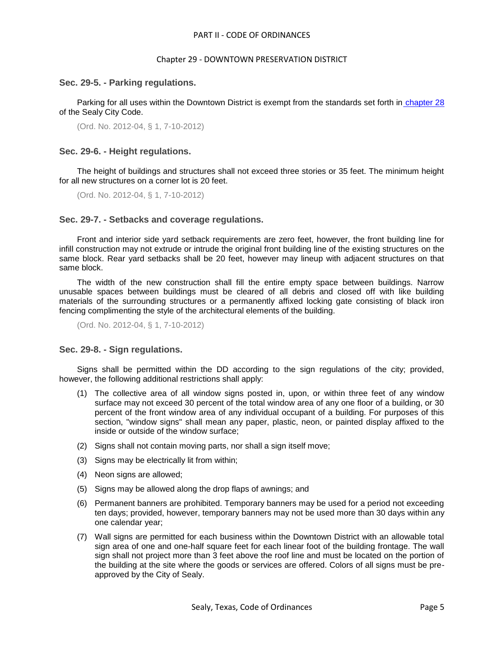#### Chapter 29 - DOWNTOWN PRESERVATION DISTRICT

### <span id="page-4-0"></span>**Sec. 29-5. - Parking regulations.**

Parking for all uses within the Downtown District is exempt from the standards set forth in [chapter 28](file:///C:/Users/RAnderson/AppData/Local/Microsoft/Windows/Temporary%20Internet%20Files/Content.IE5/level2/PTIICOOR_CH28DERUREST.docx%23PTIICOOR_CH28DERUREST) of the Sealy City Code.

(Ord. No. 2012-04, § 1, 7-10-2012)

### <span id="page-4-1"></span>**Sec. 29-6. - Height regulations.**

The height of buildings and structures shall not exceed three stories or 35 feet. The minimum height for all new structures on a corner lot is 20 feet.

(Ord. No. 2012-04, § 1, 7-10-2012)

### <span id="page-4-2"></span>**Sec. 29-7. - Setbacks and coverage regulations.**

Front and interior side yard setback requirements are zero feet, however, the front building line for infill construction may not extrude or intrude the original front building line of the existing structures on the same block. Rear yard setbacks shall be 20 feet, however may lineup with adjacent structures on that same block.

The width of the new construction shall fill the entire empty space between buildings. Narrow unusable spaces between buildings must be cleared of all debris and closed off with like building materials of the surrounding structures or a permanently affixed locking gate consisting of black iron fencing complimenting the style of the architectural elements of the building.

(Ord. No. 2012-04, § 1, 7-10-2012)

### <span id="page-4-3"></span>**Sec. 29-8. - Sign regulations.**

Signs shall be permitted within the DD according to the sign regulations of the city; provided, however, the following additional restrictions shall apply:

- (1) The collective area of all window signs posted in, upon, or within three feet of any window surface may not exceed 30 percent of the total window area of any one floor of a building, or 30 percent of the front window area of any individual occupant of a building. For purposes of this section, "window signs" shall mean any paper, plastic, neon, or painted display affixed to the inside or outside of the window surface;
- (2) Signs shall not contain moving parts, nor shall a sign itself move;
- (3) Signs may be electrically lit from within;
- (4) Neon signs are allowed;
- (5) Signs may be allowed along the drop flaps of awnings; and
- (6) Permanent banners are prohibited. Temporary banners may be used for a period not exceeding ten days; provided, however, temporary banners may not be used more than 30 days within any one calendar year;
- (7) Wall signs are permitted for each business within the Downtown District with an allowable total sign area of one and one-half square feet for each linear foot of the building frontage. The wall sign shall not project more than 3 feet above the roof line and must be located on the portion of the building at the site where the goods or services are offered. Colors of all signs must be preapproved by the City of Sealy.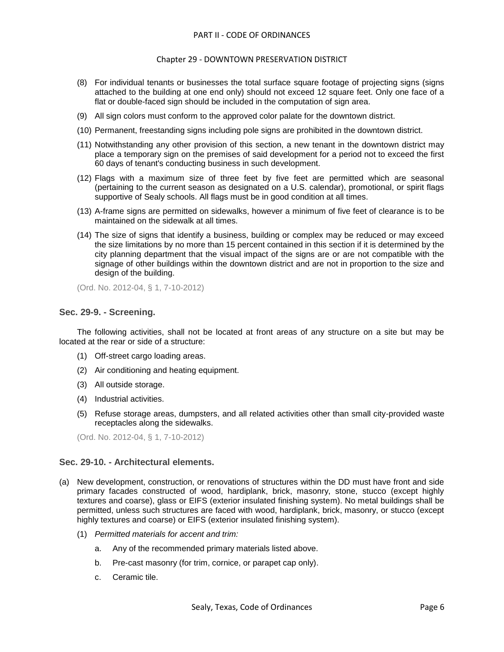### Chapter 29 - DOWNTOWN PRESERVATION DISTRICT

- (8) For individual tenants or businesses the total surface square footage of projecting signs (signs attached to the building at one end only) should not exceed 12 square feet. Only one face of a flat or double-faced sign should be included in the computation of sign area.
- (9) All sign colors must conform to the approved color palate for the downtown district.
- (10) Permanent, freestanding signs including pole signs are prohibited in the downtown district.
- (11) Notwithstanding any other provision of this section, a new tenant in the downtown district may place a temporary sign on the premises of said development for a period not to exceed the first 60 days of tenant's conducting business in such development.
- (12) Flags with a maximum size of three feet by five feet are permitted which are seasonal (pertaining to the current season as designated on a U.S. calendar), promotional, or spirit flags supportive of Sealy schools. All flags must be in good condition at all times.
- (13) A-frame signs are permitted on sidewalks, however a minimum of five feet of clearance is to be maintained on the sidewalk at all times.
- (14) The size of signs that identify a business, building or complex may be reduced or may exceed the size limitations by no more than 15 percent contained in this section if it is determined by the city planning department that the visual impact of the signs are or are not compatible with the signage of other buildings within the downtown district and are not in proportion to the size and design of the building.

(Ord. No. 2012-04, § 1, 7-10-2012)

### <span id="page-5-0"></span>**Sec. 29-9. - Screening.**

The following activities, shall not be located at front areas of any structure on a site but may be located at the rear or side of a structure:

- (1) Off-street cargo loading areas.
- (2) Air conditioning and heating equipment.
- (3) All outside storage.
- (4) Industrial activities.
- (5) Refuse storage areas, dumpsters, and all related activities other than small city-provided waste receptacles along the sidewalks.

(Ord. No. 2012-04, § 1, 7-10-2012)

# <span id="page-5-1"></span>**Sec. 29-10. - Architectural elements.**

- (a) New development, construction, or renovations of structures within the DD must have front and side primary facades constructed of wood, hardiplank, brick, masonry, stone, stucco (except highly textures and coarse), glass or EIFS (exterior insulated finishing system). No metal buildings shall be permitted, unless such structures are faced with wood, hardiplank, brick, masonry, or stucco (except highly textures and coarse) or EIFS (exterior insulated finishing system).
	- (1) *Permitted materials for accent and trim:*
		- a. Any of the recommended primary materials listed above.
		- b. Pre-cast masonry (for trim, cornice, or parapet cap only).
		- c. Ceramic tile.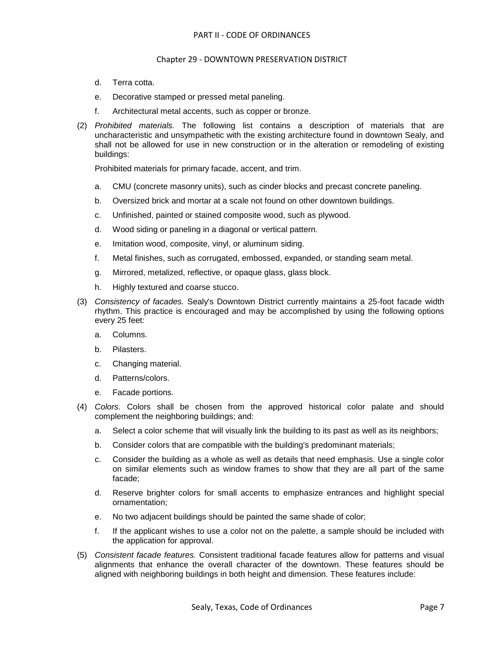- d. Terra cotta.
- e. Decorative stamped or pressed metal paneling.
- f. Architectural metal accents, such as copper or bronze.
- (2) *Prohibited materials.* The following list contains a description of materials that are uncharacteristic and unsympathetic with the existing architecture found in downtown Sealy, and shall not be allowed for use in new construction or in the alteration or remodeling of existing buildings:

Prohibited materials for primary facade, accent, and trim.

- a. CMU (concrete masonry units), such as cinder blocks and precast concrete paneling.
- b. Oversized brick and mortar at a scale not found on other downtown buildings.
- c. Unfinished, painted or stained composite wood, such as plywood.
- d. Wood siding or paneling in a diagonal or vertical pattern.
- e. Imitation wood, composite, vinyl, or aluminum siding.
- f. Metal finishes, such as corrugated, embossed, expanded, or standing seam metal.
- g. Mirrored, metalized, reflective, or opaque glass, glass block.
- h. Highly textured and coarse stucco.
- (3) *Consistency of facades.* Sealy's Downtown District currently maintains a 25-foot facade width rhythm. This practice is encouraged and may be accomplished by using the following options every 25 feet:
	- a. Columns.
	- b. Pilasters.
	- c. Changing material.
	- d. Patterns/colors.
	- e. Facade portions.
- (4) *Colors.* Colors shall be chosen from the approved historical color palate and should complement the neighboring buildings; and:
	- a. Select a color scheme that will visually link the building to its past as well as its neighbors;
	- b. Consider colors that are compatible with the building's predominant materials;
	- c. Consider the building as a whole as well as details that need emphasis. Use a single color on similar elements such as window frames to show that they are all part of the same facade;
	- d. Reserve brighter colors for small accents to emphasize entrances and highlight special ornamentation;
	- e. No two adjacent buildings should be painted the same shade of color;
	- f. If the applicant wishes to use a color not on the palette, a sample should be included with the application for approval.
- (5) *Consistent facade features.* Consistent traditional facade features allow for patterns and visual alignments that enhance the overall character of the downtown. These features should be aligned with neighboring buildings in both height and dimension. These features include: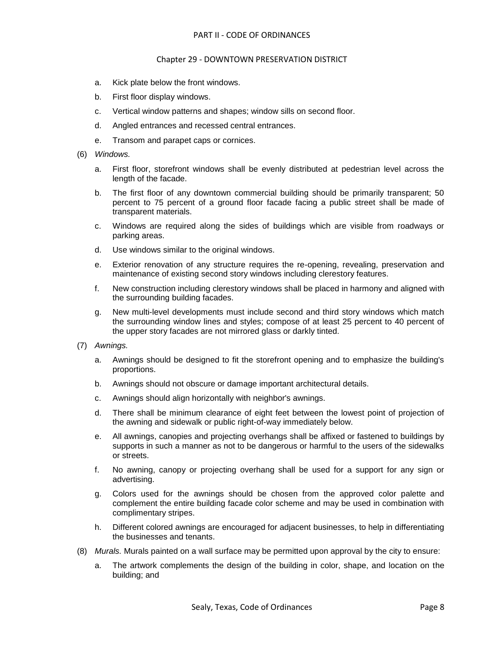- a. Kick plate below the front windows.
- b. First floor display windows.
- c. Vertical window patterns and shapes; window sills on second floor.
- d. Angled entrances and recessed central entrances.
- e. Transom and parapet caps or cornices.
- (6) *Windows.*
	- a. First floor, storefront windows shall be evenly distributed at pedestrian level across the length of the facade.
	- b. The first floor of any downtown commercial building should be primarily transparent; 50 percent to 75 percent of a ground floor facade facing a public street shall be made of transparent materials.
	- c. Windows are required along the sides of buildings which are visible from roadways or parking areas.
	- d. Use windows similar to the original windows.
	- e. Exterior renovation of any structure requires the re-opening, revealing, preservation and maintenance of existing second story windows including clerestory features.
	- f. New construction including clerestory windows shall be placed in harmony and aligned with the surrounding building facades.
	- g. New multi-level developments must include second and third story windows which match the surrounding window lines and styles; compose of at least 25 percent to 40 percent of the upper story facades are not mirrored glass or darkly tinted.
- (7) *Awnings.*
	- a. Awnings should be designed to fit the storefront opening and to emphasize the building's proportions.
	- b. Awnings should not obscure or damage important architectural details.
	- c. Awnings should align horizontally with neighbor's awnings.
	- d. There shall be minimum clearance of eight feet between the lowest point of projection of the awning and sidewalk or public right-of-way immediately below.
	- e. All awnings, canopies and projecting overhangs shall be affixed or fastened to buildings by supports in such a manner as not to be dangerous or harmful to the users of the sidewalks or streets.
	- f. No awning, canopy or projecting overhang shall be used for a support for any sign or advertising.
	- g. Colors used for the awnings should be chosen from the approved color palette and complement the entire building facade color scheme and may be used in combination with complimentary stripes.
	- h. Different colored awnings are encouraged for adjacent businesses, to help in differentiating the businesses and tenants.
- (8) *Murals.* Murals painted on a wall surface may be permitted upon approval by the city to ensure:
	- a. The artwork complements the design of the building in color, shape, and location on the building; and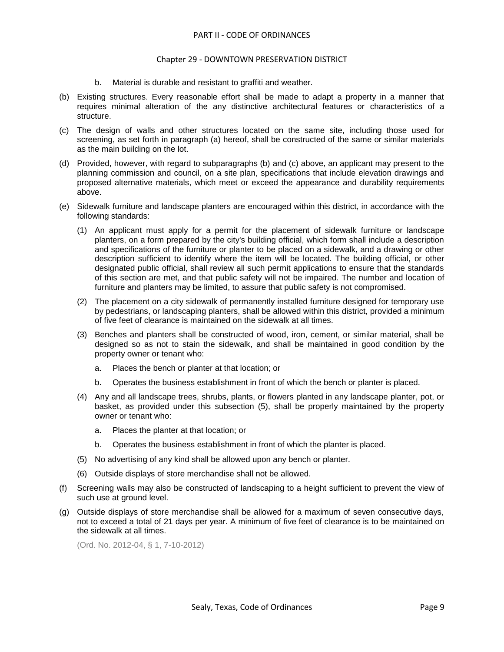#### Chapter 29 - DOWNTOWN PRESERVATION DISTRICT

- b. Material is durable and resistant to graffiti and weather.
- (b) Existing structures. Every reasonable effort shall be made to adapt a property in a manner that requires minimal alteration of the any distinctive architectural features or characteristics of a structure.
- (c) The design of walls and other structures located on the same site, including those used for screening, as set forth in paragraph (a) hereof, shall be constructed of the same or similar materials as the main building on the lot.
- (d) Provided, however, with regard to subparagraphs (b) and (c) above, an applicant may present to the planning commission and council, on a site plan, specifications that include elevation drawings and proposed alternative materials, which meet or exceed the appearance and durability requirements above.
- (e) Sidewalk furniture and landscape planters are encouraged within this district, in accordance with the following standards:
	- (1) An applicant must apply for a permit for the placement of sidewalk furniture or landscape planters, on a form prepared by the city's building official, which form shall include a description and specifications of the furniture or planter to be placed on a sidewalk, and a drawing or other description sufficient to identify where the item will be located. The building official, or other designated public official, shall review all such permit applications to ensure that the standards of this section are met, and that public safety will not be impaired. The number and location of furniture and planters may be limited, to assure that public safety is not compromised.
	- (2) The placement on a city sidewalk of permanently installed furniture designed for temporary use by pedestrians, or landscaping planters, shall be allowed within this district, provided a minimum of five feet of clearance is maintained on the sidewalk at all times.
	- (3) Benches and planters shall be constructed of wood, iron, cement, or similar material, shall be designed so as not to stain the sidewalk, and shall be maintained in good condition by the property owner or tenant who:
		- a. Places the bench or planter at that location; or
		- b. Operates the business establishment in front of which the bench or planter is placed.
	- (4) Any and all landscape trees, shrubs, plants, or flowers planted in any landscape planter, pot, or basket, as provided under this subsection (5), shall be properly maintained by the property owner or tenant who:
		- a. Places the planter at that location; or
		- b. Operates the business establishment in front of which the planter is placed.
	- (5) No advertising of any kind shall be allowed upon any bench or planter.
	- (6) Outside displays of store merchandise shall not be allowed.
- (f) Screening walls may also be constructed of landscaping to a height sufficient to prevent the view of such use at ground level.
- (g) Outside displays of store merchandise shall be allowed for a maximum of seven consecutive days, not to exceed a total of 21 days per year. A minimum of five feet of clearance is to be maintained on the sidewalk at all times.

(Ord. No. 2012-04, § 1, 7-10-2012)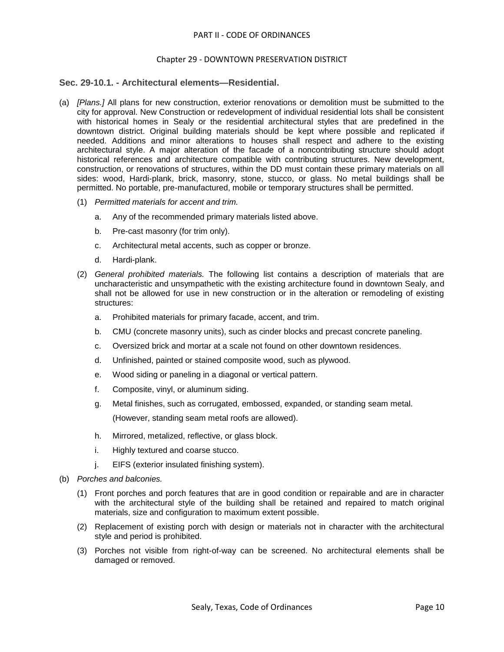### <span id="page-9-0"></span>**Sec. 29-10.1. - Architectural elements—Residential.**

- (a) *[Plans.]* All plans for new construction, exterior renovations or demolition must be submitted to the city for approval. New Construction or redevelopment of individual residential lots shall be consistent with historical homes in Sealy or the residential architectural styles that are predefined in the downtown district. Original building materials should be kept where possible and replicated if needed. Additions and minor alterations to houses shall respect and adhere to the existing architectural style. A major alteration of the facade of a noncontributing structure should adopt historical references and architecture compatible with contributing structures. New development, construction, or renovations of structures, within the DD must contain these primary materials on all sides: wood, Hardi-plank, brick, masonry, stone, stucco, or glass. No metal buildings shall be permitted. No portable, pre-manufactured, mobile or temporary structures shall be permitted.
	- (1) *Permitted materials for accent and trim.*
		- a. Any of the recommended primary materials listed above.
		- b. Pre-cast masonry (for trim only).
		- c. Architectural metal accents, such as copper or bronze.
		- d. Hardi-plank.
	- (2) *General prohibited materials.* The following list contains a description of materials that are uncharacteristic and unsympathetic with the existing architecture found in downtown Sealy, and shall not be allowed for use in new construction or in the alteration or remodeling of existing structures:
		- a. Prohibited materials for primary facade, accent, and trim.
		- b. CMU (concrete masonry units), such as cinder blocks and precast concrete paneling.
		- c. Oversized brick and mortar at a scale not found on other downtown residences.
		- d. Unfinished, painted or stained composite wood, such as plywood.
		- e. Wood siding or paneling in a diagonal or vertical pattern.
		- f. Composite, vinyl, or aluminum siding.
		- g. Metal finishes, such as corrugated, embossed, expanded, or standing seam metal.

(However, standing seam metal roofs are allowed).

- h. Mirrored, metalized, reflective, or glass block.
- i. Highly textured and coarse stucco.
- j. EIFS (exterior insulated finishing system).
- (b) *Porches and balconies.*
	- (1) Front porches and porch features that are in good condition or repairable and are in character with the architectural style of the building shall be retained and repaired to match original materials, size and configuration to maximum extent possible.
	- (2) Replacement of existing porch with design or materials not in character with the architectural style and period is prohibited.
	- (3) Porches not visible from right-of-way can be screened. No architectural elements shall be damaged or removed.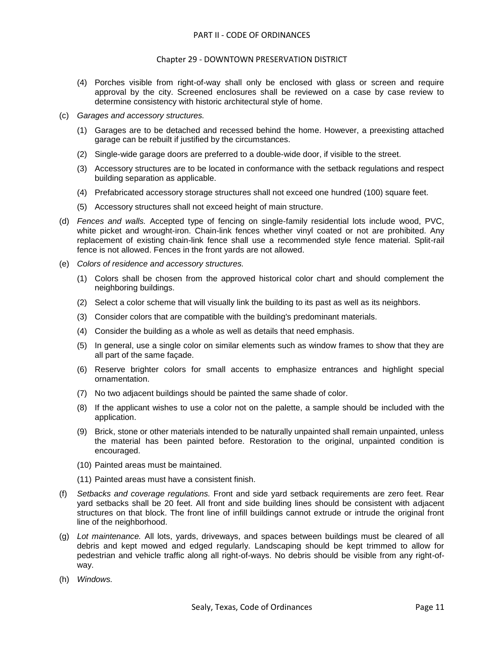#### Chapter 29 - DOWNTOWN PRESERVATION DISTRICT

- (4) Porches visible from right-of-way shall only be enclosed with glass or screen and require approval by the city. Screened enclosures shall be reviewed on a case by case review to determine consistency with historic architectural style of home.
- (c) *Garages and accessory structures.*
	- (1) Garages are to be detached and recessed behind the home. However, a preexisting attached garage can be rebuilt if justified by the circumstances.
	- (2) Single-wide garage doors are preferred to a double-wide door, if visible to the street.
	- (3) Accessory structures are to be located in conformance with the setback regulations and respect building separation as applicable.
	- (4) Prefabricated accessory storage structures shall not exceed one hundred (100) square feet.
	- (5) Accessory structures shall not exceed height of main structure.
- (d) *Fences and walls.* Accepted type of fencing on single-family residential lots include wood, PVC, white picket and wrought-iron. Chain-link fences whether vinyl coated or not are prohibited. Any replacement of existing chain-link fence shall use a recommended style fence material. Split-rail fence is not allowed. Fences in the front yards are not allowed.
- (e) *Colors of residence and accessory structures.*
	- (1) Colors shall be chosen from the approved historical color chart and should complement the neighboring buildings.
	- (2) Select a color scheme that will visually link the building to its past as well as its neighbors.
	- (3) Consider colors that are compatible with the building's predominant materials.
	- (4) Consider the building as a whole as well as details that need emphasis.
	- (5) In general, use a single color on similar elements such as window frames to show that they are all part of the same façade.
	- (6) Reserve brighter colors for small accents to emphasize entrances and highlight special ornamentation.
	- (7) No two adjacent buildings should be painted the same shade of color.
	- (8) If the applicant wishes to use a color not on the palette, a sample should be included with the application.
	- (9) Brick, stone or other materials intended to be naturally unpainted shall remain unpainted, unless the material has been painted before. Restoration to the original, unpainted condition is encouraged.
	- (10) Painted areas must be maintained.
	- (11) Painted areas must have a consistent finish.
- (f) *Setbacks and coverage regulations.* Front and side yard setback requirements are zero feet. Rear yard setbacks shall be 20 feet. All front and side building lines should be consistent with adjacent structures on that block. The front line of infill buildings cannot extrude or intrude the original front line of the neighborhood.
- (g) *Lot maintenance.* All lots, yards, driveways, and spaces between buildings must be cleared of all debris and kept mowed and edged regularly. Landscaping should be kept trimmed to allow for pedestrian and vehicle traffic along all right-of-ways. No debris should be visible from any right-ofway.
- (h) *Windows.*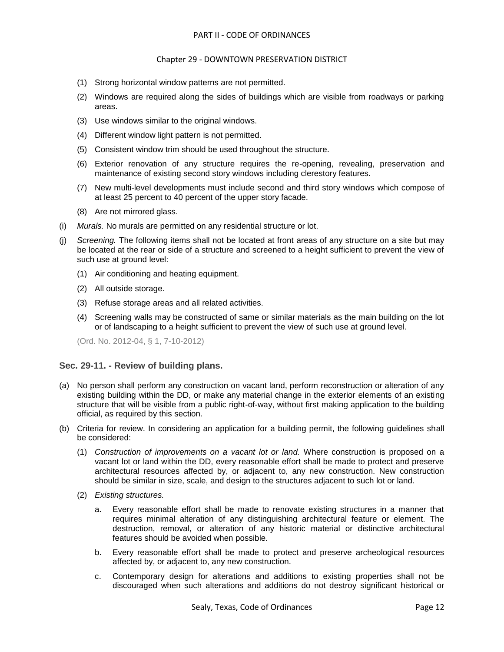- (1) Strong horizontal window patterns are not permitted.
- (2) Windows are required along the sides of buildings which are visible from roadways or parking areas.
- (3) Use windows similar to the original windows.
- (4) Different window light pattern is not permitted.
- (5) Consistent window trim should be used throughout the structure.
- (6) Exterior renovation of any structure requires the re-opening, revealing, preservation and maintenance of existing second story windows including clerestory features.
- (7) New multi-level developments must include second and third story windows which compose of at least 25 percent to 40 percent of the upper story facade.
- (8) Are not mirrored glass.
- (i) *Murals.* No murals are permitted on any residential structure or lot.
- (j) *Screening.* The following items shall not be located at front areas of any structure on a site but may be located at the rear or side of a structure and screened to a height sufficient to prevent the view of such use at ground level:
	- (1) Air conditioning and heating equipment.
	- (2) All outside storage.
	- (3) Refuse storage areas and all related activities.
	- (4) Screening walls may be constructed of same or similar materials as the main building on the lot or of landscaping to a height sufficient to prevent the view of such use at ground level.

(Ord. No. 2012-04, § 1, 7-10-2012)

# <span id="page-11-0"></span>**Sec. 29-11. - Review of building plans.**

- (a) No person shall perform any construction on vacant land, perform reconstruction or alteration of any existing building within the DD, or make any material change in the exterior elements of an existing structure that will be visible from a public right-of-way, without first making application to the building official, as required by this section.
- (b) Criteria for review. In considering an application for a building permit, the following guidelines shall be considered:
	- (1) *Construction of improvements on a vacant lot or land.* Where construction is proposed on a vacant lot or land within the DD, every reasonable effort shall be made to protect and preserve architectural resources affected by, or adjacent to, any new construction. New construction should be similar in size, scale, and design to the structures adjacent to such lot or land.
	- (2) *Existing structures.*
		- a. Every reasonable effort shall be made to renovate existing structures in a manner that requires minimal alteration of any distinguishing architectural feature or element. The destruction, removal, or alteration of any historic material or distinctive architectural features should be avoided when possible.
		- b. Every reasonable effort shall be made to protect and preserve archeological resources affected by, or adjacent to, any new construction.
		- c. Contemporary design for alterations and additions to existing properties shall not be discouraged when such alterations and additions do not destroy significant historical or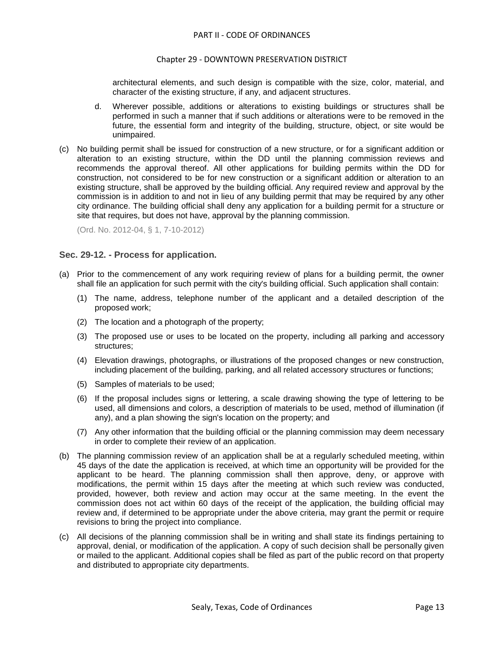#### Chapter 29 - DOWNTOWN PRESERVATION DISTRICT

architectural elements, and such design is compatible with the size, color, material, and character of the existing structure, if any, and adjacent structures.

- d. Wherever possible, additions or alterations to existing buildings or structures shall be performed in such a manner that if such additions or alterations were to be removed in the future, the essential form and integrity of the building, structure, object, or site would be unimpaired.
- (c) No building permit shall be issued for construction of a new structure, or for a significant addition or alteration to an existing structure, within the DD until the planning commission reviews and recommends the approval thereof. All other applications for building permits within the DD for construction, not considered to be for new construction or a significant addition or alteration to an existing structure, shall be approved by the building official. Any required review and approval by the commission is in addition to and not in lieu of any building permit that may be required by any other city ordinance. The building official shall deny any application for a building permit for a structure or site that requires, but does not have, approval by the planning commission.

(Ord. No. 2012-04, § 1, 7-10-2012)

### <span id="page-12-0"></span>**Sec. 29-12. - Process for application.**

- (a) Prior to the commencement of any work requiring review of plans for a building permit, the owner shall file an application for such permit with the city's building official. Such application shall contain:
	- (1) The name, address, telephone number of the applicant and a detailed description of the proposed work;
	- (2) The location and a photograph of the property;
	- (3) The proposed use or uses to be located on the property, including all parking and accessory structures;
	- (4) Elevation drawings, photographs, or illustrations of the proposed changes or new construction, including placement of the building, parking, and all related accessory structures or functions;
	- (5) Samples of materials to be used;
	- (6) If the proposal includes signs or lettering, a scale drawing showing the type of lettering to be used, all dimensions and colors, a description of materials to be used, method of illumination (if any), and a plan showing the sign's location on the property; and
	- (7) Any other information that the building official or the planning commission may deem necessary in order to complete their review of an application.
- (b) The planning commission review of an application shall be at a regularly scheduled meeting, within 45 days of the date the application is received, at which time an opportunity will be provided for the applicant to be heard. The planning commission shall then approve, deny, or approve with modifications, the permit within 15 days after the meeting at which such review was conducted, provided, however, both review and action may occur at the same meeting. In the event the commission does not act within 60 days of the receipt of the application, the building official may review and, if determined to be appropriate under the above criteria, may grant the permit or require revisions to bring the project into compliance.
- (c) All decisions of the planning commission shall be in writing and shall state its findings pertaining to approval, denial, or modification of the application. A copy of such decision shall be personally given or mailed to the applicant. Additional copies shall be filed as part of the public record on that property and distributed to appropriate city departments.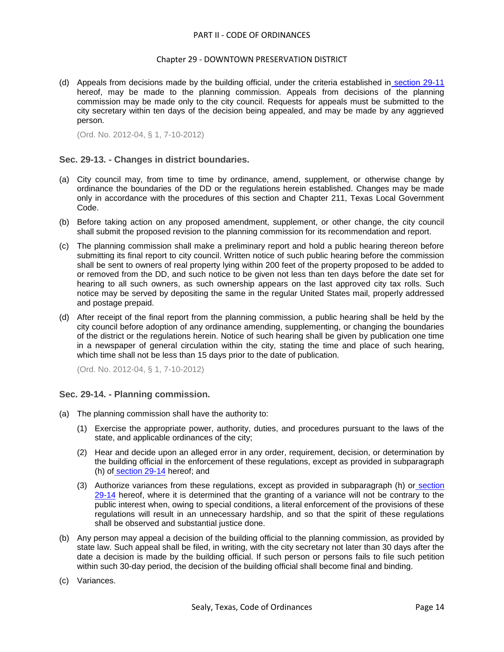#### Chapter 29 - DOWNTOWN PRESERVATION DISTRICT

(d) Appeals from decisions made by the building official, under the criteria established in [section 29-11](file:///C:/Users/RAnderson/AppData/Local/Microsoft/Windows/Temporary%20Internet%20Files/Content.IE5/level2/PTIICOOR_CH29DOPRDI.docx%23PTIICOOR_CH29DOPRDI_S29-11REBUPL) hereof, may be made to the planning commission. Appeals from decisions of the planning commission may be made only to the city council. Requests for appeals must be submitted to the city secretary within ten days of the decision being appealed, and may be made by any aggrieved person.

(Ord. No. 2012-04, § 1, 7-10-2012)

## <span id="page-13-0"></span>**Sec. 29-13. - Changes in district boundaries.**

- (a) City council may, from time to time by ordinance, amend, supplement, or otherwise change by ordinance the boundaries of the DD or the regulations herein established. Changes may be made only in accordance with the procedures of this section and Chapter 211, Texas Local Government Code.
- (b) Before taking action on any proposed amendment, supplement, or other change, the city council shall submit the proposed revision to the planning commission for its recommendation and report.
- (c) The planning commission shall make a preliminary report and hold a public hearing thereon before submitting its final report to city council. Written notice of such public hearing before the commission shall be sent to owners of real property lying within 200 feet of the property proposed to be added to or removed from the DD, and such notice to be given not less than ten days before the date set for hearing to all such owners, as such ownership appears on the last approved city tax rolls. Such notice may be served by depositing the same in the regular United States mail, properly addressed and postage prepaid.
- (d) After receipt of the final report from the planning commission, a public hearing shall be held by the city council before adoption of any ordinance amending, supplementing, or changing the boundaries of the district or the regulations herein. Notice of such hearing shall be given by publication one time in a newspaper of general circulation within the city, stating the time and place of such hearing, which time shall not be less than 15 days prior to the date of publication.

(Ord. No. 2012-04, § 1, 7-10-2012)

### <span id="page-13-1"></span>**Sec. 29-14. - Planning commission.**

- (a) The planning commission shall have the authority to:
	- (1) Exercise the appropriate power, authority, duties, and procedures pursuant to the laws of the state, and applicable ordinances of the city;
	- (2) Hear and decide upon an alleged error in any order, requirement, decision, or determination by the building official in the enforcement of these regulations, except as provided in subparagraph (h) of [section 29-14](file:///C:/Users/RAnderson/AppData/Local/Microsoft/Windows/Temporary%20Internet%20Files/Content.IE5/level2/PTIICOOR_CH29DOPRDI.docx%23PTIICOOR_CH29DOPRDI_S29-14PLCO) hereof; and
	- (3) Authorize variances from these regulations, except as provided in subparagraph (h) or [section](file:///C:/Users/RAnderson/AppData/Local/Microsoft/Windows/Temporary%20Internet%20Files/Content.IE5/level2/PTIICOOR_CH29DOPRDI.docx%23PTIICOOR_CH29DOPRDI_S29-14PLCO)  [29-14](file:///C:/Users/RAnderson/AppData/Local/Microsoft/Windows/Temporary%20Internet%20Files/Content.IE5/level2/PTIICOOR_CH29DOPRDI.docx%23PTIICOOR_CH29DOPRDI_S29-14PLCO) hereof, where it is determined that the granting of a variance will not be contrary to the public interest when, owing to special conditions, a literal enforcement of the provisions of these regulations will result in an unnecessary hardship, and so that the spirit of these regulations shall be observed and substantial justice done.
- (b) Any person may appeal a decision of the building official to the planning commission, as provided by state law. Such appeal shall be filed, in writing, with the city secretary not later than 30 days after the date a decision is made by the building official. If such person or persons fails to file such petition within such 30-day period, the decision of the building official shall become final and binding.
- (c) Variances.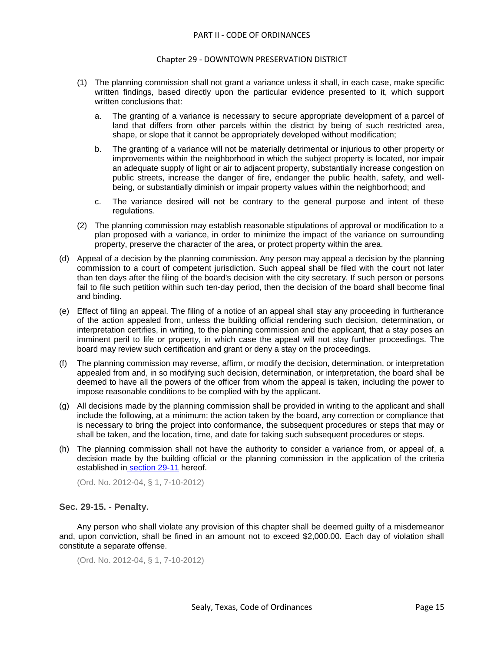#### Chapter 29 - DOWNTOWN PRESERVATION DISTRICT

- (1) The planning commission shall not grant a variance unless it shall, in each case, make specific written findings, based directly upon the particular evidence presented to it, which support written conclusions that:
	- a. The granting of a variance is necessary to secure appropriate development of a parcel of land that differs from other parcels within the district by being of such restricted area, shape, or slope that it cannot be appropriately developed without modification;
	- b. The granting of a variance will not be materially detrimental or injurious to other property or improvements within the neighborhood in which the subject property is located, nor impair an adequate supply of light or air to adjacent property, substantially increase congestion on public streets, increase the danger of fire, endanger the public health, safety, and wellbeing, or substantially diminish or impair property values within the neighborhood; and
	- c. The variance desired will not be contrary to the general purpose and intent of these regulations.
- (2) The planning commission may establish reasonable stipulations of approval or modification to a plan proposed with a variance, in order to minimize the impact of the variance on surrounding property, preserve the character of the area, or protect property within the area.
- (d) Appeal of a decision by the planning commission. Any person may appeal a decision by the planning commission to a court of competent jurisdiction. Such appeal shall be filed with the court not later than ten days after the filing of the board's decision with the city secretary. If such person or persons fail to file such petition within such ten-day period, then the decision of the board shall become final and binding.
- (e) Effect of filing an appeal. The filing of a notice of an appeal shall stay any proceeding in furtherance of the action appealed from, unless the building official rendering such decision, determination, or interpretation certifies, in writing, to the planning commission and the applicant, that a stay poses an imminent peril to life or property, in which case the appeal will not stay further proceedings. The board may review such certification and grant or deny a stay on the proceedings.
- (f) The planning commission may reverse, affirm, or modify the decision, determination, or interpretation appealed from and, in so modifying such decision, determination, or interpretation, the board shall be deemed to have all the powers of the officer from whom the appeal is taken, including the power to impose reasonable conditions to be complied with by the applicant.
- (g) All decisions made by the planning commission shall be provided in writing to the applicant and shall include the following, at a minimum: the action taken by the board, any correction or compliance that is necessary to bring the project into conformance, the subsequent procedures or steps that may or shall be taken, and the location, time, and date for taking such subsequent procedures or steps.
- (h) The planning commission shall not have the authority to consider a variance from, or appeal of, a decision made by the building official or the planning commission in the application of the criteria established in [section 29-11](file:///C:/Users/RAnderson/AppData/Local/Microsoft/Windows/Temporary%20Internet%20Files/Content.IE5/level2/PTIICOOR_CH29DOPRDI.docx%23PTIICOOR_CH29DOPRDI_S29-11REBUPL) hereof.

(Ord. No. 2012-04, § 1, 7-10-2012)

### <span id="page-14-0"></span>**Sec. 29-15. - Penalty.**

Any person who shall violate any provision of this chapter shall be deemed guilty of a misdemeanor and, upon conviction, shall be fined in an amount not to exceed \$2,000.00. Each day of violation shall constitute a separate offense.

```
(Ord. No. 2012-04, § 1, 7-10-2012)
```